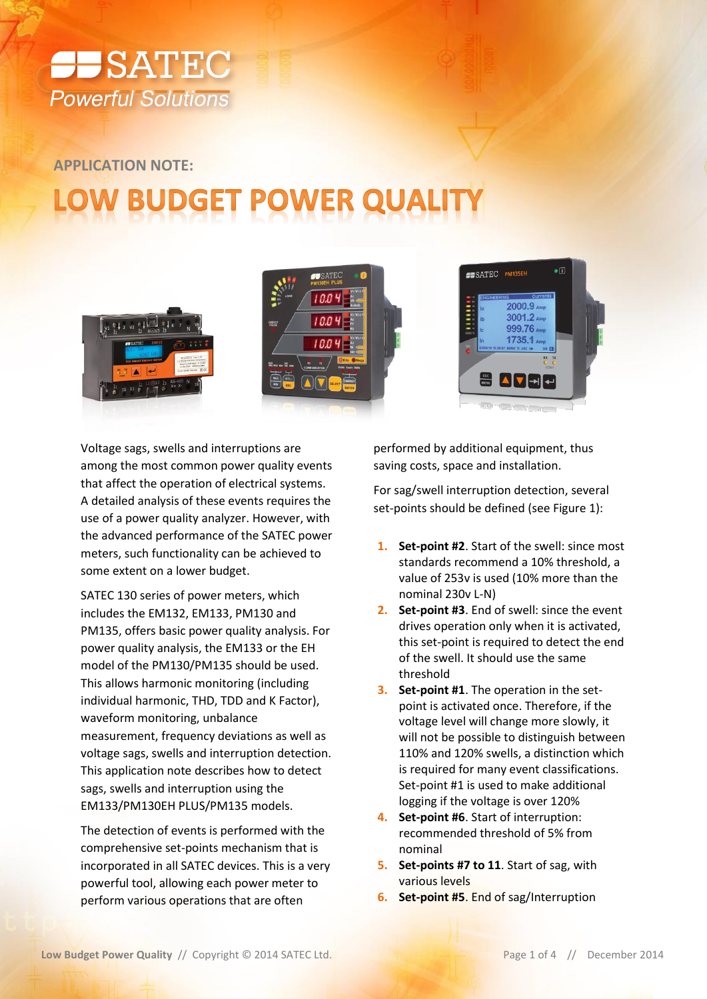

**APPLICATION NOTE:**

## **JDGET**



Voltage sags, swells and interruptions are among the most common power quality events that affect the operation of electrical systems. A detailed analysis of these events requires the use of a power quality analyzer. However, with the advanced performance of the SATEC power meters, such functionality can be achieved to some extent on a lower budget.

SATEC 130 series of power meters, which includes the EM132, EM133, PM130 and PM135, offers basic power quality analysis. For power quality analysis, the EM133 or the EH model of the PM130/PM135 should be used. This allows harmonic monitoring (including individual harmonic, THD, TDD and K Factor), waveform monitoring, unbalance measurement, frequency deviations as well as voltage sags, swells and interruption detection. This application note describes how to detect sags, swells and interruption using the EM133/PM130EH PLUS/PM135 models.

The detection of events is performed with the comprehensive set-points mechanism that is incorporated in all SATEC devices. This is a very powerful tool, allowing each power meter to perform various operations that are often

performed by additional equipment, thus saving costs, space and installation.

 $\bullet$ <sup> $\Box$ </sup>

For sag/swell interruption detection, several set-points should be defined (see [Figure 1\)](#page-1-0):

- **1. Set-point #2**. Start of the swell: since most standards recommend a 10% threshold, a value of 253v is used (10% more than the nominal 230v L-N)
- **2. Set-point #3**. End of swell: since the event drives operation only when it is activated, this set-point is required to detect the end of the swell. It should use the same threshold
- **3. Set-point #1**. The operation in the setpoint is activated once. Therefore, if the voltage level will change more slowly, it will not be possible to distinguish between 110% and 120% swells, a distinction which is required for many event classifications. Set-point #1 is used to make additional logging if the voltage is over 120%
- **4. Set-point #6**. Start of interruption: recommended threshold of 5% from nominal
- **5. Set-points #7 to 11**. Start of sag, with various levels
- **6. Set-point #5**. End of sag/Interruption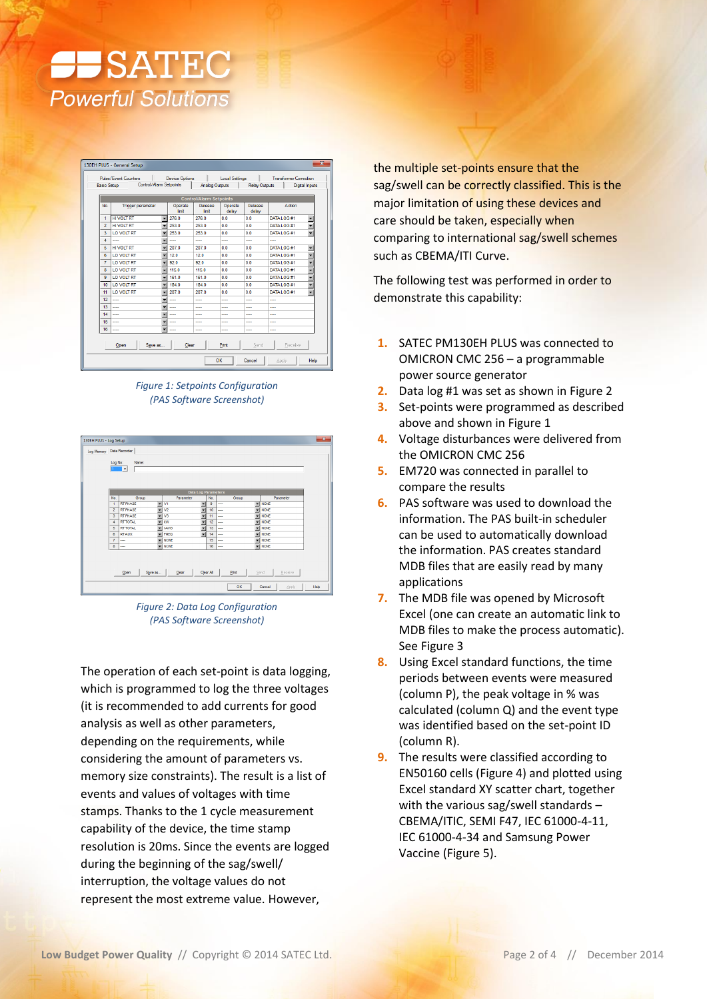

| <b>Basic Setup</b> | Pulse/Event Counters<br>Control/Alam Setpoints |                          | <b>Device Options</b><br><b>Local Settings</b><br><b>Analog Outputs</b> |                  |                          | <b>Transformer Correction</b><br>Digital Inputs |                          |
|--------------------|------------------------------------------------|--------------------------|-------------------------------------------------------------------------|------------------|--------------------------|-------------------------------------------------|--------------------------|
|                    |                                                |                          |                                                                         |                  | <b>Relay Outputs</b>     |                                                 |                          |
|                    |                                                |                          | <b>Control/Alarm Setpoints</b>                                          |                  |                          |                                                 |                          |
| No.                | <b>Trigger parameter</b>                       | Operate<br>limit         | Release<br>limit                                                        | Operate<br>delay | Release<br>delay         | Action                                          |                          |
| 1                  | <b>HIVOLT RT</b>                               | 276.0<br>۰               | 276.0                                                                   | 0.0              | 0.0                      | DATA LOG #1                                     |                          |
| $\overline{2}$     | <b>HIVOIT RT</b>                               | 253.0                    | 253.0                                                                   | 0.0              | 0.0                      | DATA LOG #1                                     | ٠                        |
| 3                  | <b>LO VOLT RT</b>                              | 253.0                    | 253.0                                                                   | 0.0              | 0.0                      | DATA LOG #1                                     | $\overline{\phantom{a}}$ |
| 4                  |                                                | ---                      |                                                                         |                  | ---                      | ---                                             |                          |
| 5                  | <b>HIVOLT RT</b>                               | 207.0                    | 207.0                                                                   | 0.0              | 0.0                      | <b>DATA LOG #1</b>                              | $\overline{\phantom{a}}$ |
| 6                  | LO VOLT RT                                     | 12.0                     | 120                                                                     | 0.0              | 0.0                      | DATA LOG #1                                     | $\overline{\phantom{0}}$ |
| 7                  | <b>LO VOLT RT</b>                              | 92.0                     | 92.0                                                                    | 0 <sub>0</sub>   | 0 <sub>0</sub>           | DATA LOG #1                                     | $\overline{\phantom{0}}$ |
| 8                  | <b>LO VOLT RT</b>                              | 115.0<br>÷               | 115.0                                                                   | 0.0              | 0.0                      | DATA LOG #1                                     | ÷                        |
| $\mathbf{Q}$       | LO VOIT RT                                     | 161.0                    | 161.0                                                                   | 0 <sub>0</sub>   | 0 <sub>0</sub>           | DATA LOG #1                                     | ٠                        |
| 10                 | <b>LO VOLT RT</b>                              | 184.0                    | 184.0                                                                   | 0.0              | 0.0                      | DATA LOG #1                                     | ÷                        |
| 11                 | <b>LO VOLT RT</b>                              | 207.0                    | 207.0                                                                   | 0.0              | 0.0                      | DATA LOG #1                                     | $\overline{\phantom{a}}$ |
| 12                 | ----                                           |                          | ----                                                                    | ----             | ----                     | ---                                             |                          |
| 13                 | $\overline{\phantom{a}}$                       | $\overline{\phantom{a}}$ | $\overline{a}$                                                          | $\overline{a}$   | $\overline{\phantom{a}}$ | $\overline{\phantom{a}}$                        |                          |
| 14                 | ---                                            |                          | ----                                                                    | ----             | ----                     | ---                                             |                          |
| 15                 |                                                | ÷                        |                                                                         |                  |                          |                                                 |                          |
| 16                 | $\overline{\phantom{a}}$                       | ----                     | $\overline{a}$                                                          | $\overline{a}$   | ----                     | ----                                            |                          |
|                    | Save as<br>Open                                | Clear                    |                                                                         | Print            | Send                     | Beneive                                         |                          |

<span id="page-1-0"></span>*Figure 1: Setpoints Configuration (PAS Software Screenshot)*

| 130EH PLUS - Log Setup<br>Log Memory Data Recorder | Log No:                 | Name:<br>$1 -  v $ |                          |                            |                          |                  |                |                 | $\overline{\mathbf{x}}$ |
|----------------------------------------------------|-------------------------|--------------------|--------------------------|----------------------------|--------------------------|------------------|----------------|-----------------|-------------------------|
|                                                    |                         |                    |                          | <b>Data Log Parameters</b> |                          |                  |                |                 |                         |
|                                                    | No.                     | Group              |                          | Parameter                  |                          | No.              | Group          | Parameter       |                         |
|                                                    | $\overline{1}$          | <b>RT PHASE</b>    |                          | $-1$ V1                    | $\overline{\phantom{a}}$ | $\overline{9}$   | $\overline{a}$ | $=$ NONE        |                         |
|                                                    | $\overline{2}$          | <b>RT PHASE</b>    |                          | $=$ $\sqrt{2}$             | $\overline{\phantom{a}}$ | 10 <sup>10</sup> | ---            | $=$ NONE        |                         |
|                                                    | 3                       | <b>RT PHASE</b>    |                          | $-11$                      | ٠                        | 11               | ----           | <b>WONE</b>     |                         |
|                                                    | $\overline{4}$          | <b>RT TOTAL</b>    | ۰                        | kW                         | $\overline{\phantom{0}}$ | 12               | ---            | - NONE          |                         |
|                                                    | $\overline{\mathbf{s}}$ | <b>RT TOTAL</b>    | 戻                        | <b>IAVG</b>                | $\overline{\phantom{a}}$ | 13               | $\overline{a}$ | $\equiv$ NONE   |                         |
|                                                    | 6                       | <b>RTAUX</b>       | $\overline{\phantom{a}}$ | <b>FREQ</b>                | $\overline{\phantom{0}}$ | 14               |                | <b>WINONE</b>   |                         |
|                                                    | $\overline{7}$          | $\cdots$           | ×                        | <b>NONE</b>                |                          | 15               | ---            | $=$ NONE        |                         |
|                                                    | 8                       |                    |                          | $\blacktriangleright$ NONE |                          | 16               | $\overline{a}$ | $=$ NONE        |                         |
|                                                    |                         | Save as<br>Open    |                          | Clear                      |                          | Clear All        | Print          | Send<br>Receive |                         |
|                                                    |                         |                    |                          |                            |                          |                  | OK             | Cancel<br>Apply | Help                    |

<span id="page-1-1"></span>*Figure 2: Data Log Configuration (PAS Software Screenshot)*

The operation of each set-point is data logging, which is programmed to log the three voltages (it is recommended to add currents for good analysis as well as other parameters, depending on the requirements, while considering the amount of parameters vs. memory size constraints). The result is a list of events and values of voltages with time stamps. Thanks to the 1 cycle measurement capability of the device, the time stamp resolution is 20ms. Since the events are logged during the beginning of the sag/swell/ interruption, the voltage values do not represent the most extreme value. However,

the multiple set-points ensure that the sag/swell can be correctly classified. This is the major limitation of using these devices and care should be taken, especially when comparing to international sag/swell schemes such as CBEMA/ITI Curve.

The following test was performed in order to demonstrate this capability:

- **1.** SATEC PM130EH PLUS was connected to OMICRON CMC 256 – a programmable power source generator
- **2.** Data log #1 was set as shown i[n Figure 2](#page-1-1)
- **3.** Set-points were programmed as described above and shown in [Figure 1](#page-1-0)
- **4.** Voltage disturbances were delivered from the OMICRON CMC 256
- **5.** EM720 was connected in parallel to compare the results
- **6.** PAS software was used to download the information. The PAS built-in scheduler can be used to automatically download the information. PAS creates standard MDB files that are easily read by many applications
- **7.** The MDB file was opened by Microsoft Excel (one can create an automatic link to MDB files to make the process automatic). Se[e Figure 3](#page-2-0)
- **8.** Using Excel standard functions, the time periods between events were measured (column P), the peak voltage in % was calculated (column Q) and the event type was identified based on the set-point ID (column R).
- **9.** The results were classified according to EN50160 cells [\(Figure 4\)](#page-2-1) and plotted using Excel standard XY scatter chart, together with the various sag/swell standards – CBEMA/ITIC, SEMI F47, IEC 61000-4-11, IEC 61000-4-34 and Samsung Power Vaccine (Figure 5).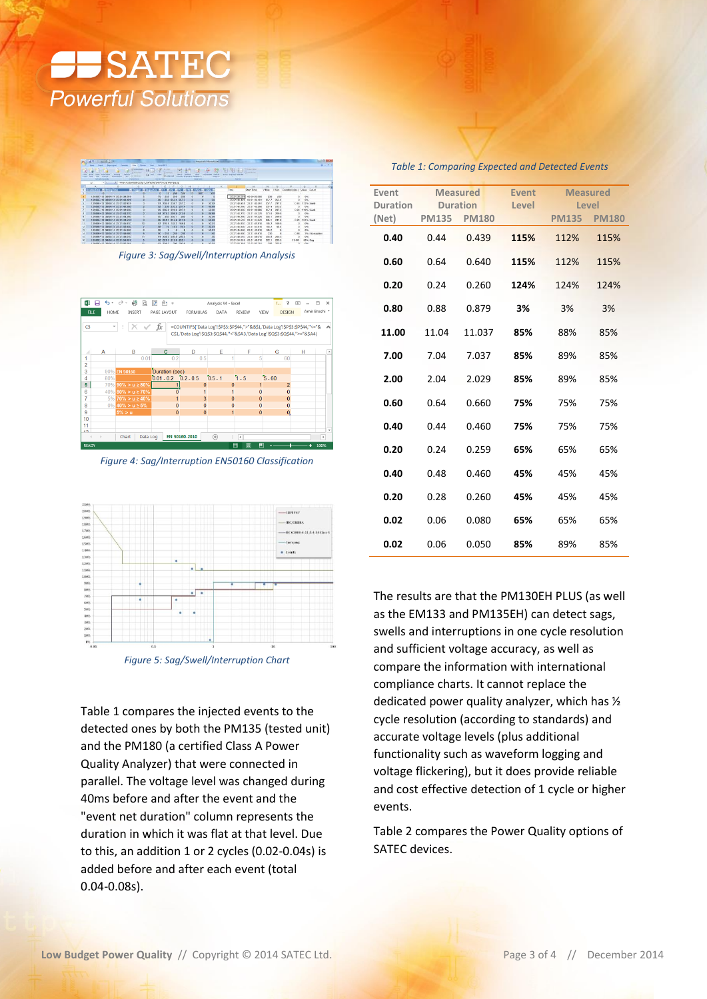



*Figure 3: Sag/Swell/Interruption Analysis*

<span id="page-2-0"></span>

<span id="page-2-1"></span>*Figure 4: Sag/Interruption EN50160 Classification*



*Figure 5: Sag/Swell/Interruption Chart*

[Table 1](#page-2-2) compares the injected events to the detected ones by both the PM135 (tested unit) and the PM180 (a certified Class A Power Quality Analyzer) that were connected in parallel. The voltage level was changed during 40ms before and after the event and the "event net duration" column represents the duration in which it was flat at that level. Due to this, an addition 1 or 2 cycles (0.02-0.04s) is added before and after each event (total 0.04-0.08s).

| Event    | <b>Measured</b> |              | Event | <b>Measured</b> |              |
|----------|-----------------|--------------|-------|-----------------|--------------|
| Duration | <b>Duration</b> |              | Level | Level           |              |
| (Net)    | <b>PM135</b>    | <b>PM180</b> |       | <b>PM135</b>    | <b>PM180</b> |
| 0.40     | 0.44            | 0.439        | 115%  | 112%            | 115%         |
| 0.60     | 0.64            | 0.640        | 115%  | 112%            | 115%         |
| 0.20     | 0.24            | 0.260        | 124%  | 124%            | 124%         |
| 0.80     | 0.88            | 0.879        | 3%    | 3%              | 3%           |
| 11.00    | 11.04           | 11.037       | 85%   | 88%             | 85%          |
| 7.00     | 7.04            | 7.037        | 85%   | 89%             | 85%          |
| 2.00     | 2.04            | 2.029        | 85%   | 89%             | 85%          |
| 0.60     | 0.64            | 0.660        | 75%   | 75%             | 75%          |
| 0.40     | 0.44            | 0.460        | 75%   | 75%             | 75%          |
| 0.20     | 0.24            | 0.259        | 65%   | 65%             | 65%          |
| 0.40     | 0.48            | 0.460        | 45%   | 45%             | 45%          |
| 0.20     | 0.28            | 0.260        | 45%   | 45%             | 45%          |
| 0.02     | 0.06            | 0.080        | 65%   | 65%             | 65%          |
| 0.02     | 0.06            | 0.050        | 85%   | 89%             | 85%          |

The results are that the PM130EH PLUS (as well as the EM133 and PM135EH) can detect sags, swells and interruptions in one cycle resolution and sufficient voltage accuracy, as well as compare the information with international compliance charts. It cannot replace the dedicated power quality analyzer, which has ½ cycle resolution (according to standards) and accurate voltage levels (plus additional functionality such as waveform logging and voltage flickering), but it does provide reliable and cost effective detection of 1 cycle or higher events[.](#page-2-3)

<span id="page-2-3"></span>[Table 2](#page-2-3) compares the Power Quality options of SATEC devices.

<span id="page-2-2"></span>*Table 1: Comparing Expected and Detected Events*